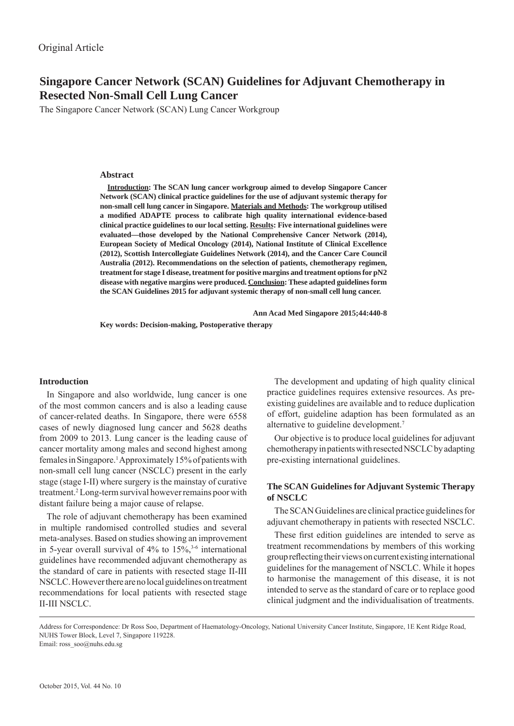# **Singapore Cancer Network (SCAN) Guidelines for Adjuvant Chemotherapy in Resected Non-Small Cell Lung Cancer**

The Singapore Cancer Network (SCAN) Lung Cancer Workgroup

### **Abstract**

**Introduction: The SCAN lung cancer workgroup aimed to develop Singapore Cancer Network (SCAN) clinical practice guidelines for the use of adjuvant systemic therapy for non-small cell lung cancer in Singapore. Materials and Methods: The workgroup utilised a modifi ed ADAPTE process to calibrate high quality international evidence-based clinical practice guidelines to our local setting. Results: Five international guidelines were evaluated—those developed by the National Comprehensive Cancer Network (2014), European Society of Medical Oncology (2014), National Institute of Clinical Excellence (2012), Scottish Intercollegiate Guidelines Network (2014), and the Cancer Care Council Australia (2012). Recommendations on the selection of patients, chemotherapy regimen, treatment for stage I disease, treatment for positive margins and treatment options for pN2 disease with negative margins were produced. Conclusion: These adapted guidelines form the SCAN Guidelines 2015 for adjuvant systemic therapy of non-small cell lung cancer.** 

 **Ann Acad Med Singapore 2015;44:440-8**

**Key words: Decision-making, Postoperative therapy**

#### **Introduction**

In Singapore and also worldwide, lung cancer is one of the most common cancers and is also a leading cause of cancer-related deaths. In Singapore, there were 6558 cases of newly diagnosed lung cancer and 5628 deaths from 2009 to 2013. Lung cancer is the leading cause of cancer mortality among males and second highest among females in Singapore.<sup>1</sup> Approximately 15% of patients with non-small cell lung cancer (NSCLC) present in the early stage (stage I-II) where surgery is the mainstay of curative treatment.2 Long-term survival however remains poor with distant failure being a major cause of relapse.

The role of adjuvant chemotherapy has been examined in multiple randomised controlled studies and several meta-analyses. Based on studies showing an improvement in 5-year overall survival of  $4\%$  to  $15\%$ ,<sup>3-6</sup> international guidelines have recommended adjuvant chemotherapy as the standard of care in patients with resected stage II-III NSCLC. However there are no local guidelines on treatment recommendations for local patients with resected stage II-III NSCLC.

The development and updating of high quality clinical practice guidelines requires extensive resources. As preexisting guidelines are available and to reduce duplication of effort, guideline adaption has been formulated as an alternative to guideline development.7

Our objective is to produce local guidelines for adjuvant chemotherapy in patients with resected NSCLC by adapting pre-existing international guidelines.

# **The SCAN Guidelines for Adjuvant Systemic Therapy of NSCLC**

The SCAN Guidelines are clinical practice guidelines for adjuvant chemotherapy in patients with resected NSCLC.

These first edition guidelines are intended to serve as treatment recommendations by members of this working group reflecting their views on current existing international guidelines for the management of NSCLC. While it hopes to harmonise the management of this disease, it is not intended to serve as the standard of care or to replace good clinical judgment and the individualisation of treatments.

Address for Correspondence: Dr Ross Soo, Department of Haematology-Oncology, National University Cancer Institute, Singapore, 1E Kent Ridge Road, NUHS Tower Block, Level 7, Singapore 119228. Email: ross\_soo@nuhs.edu.sg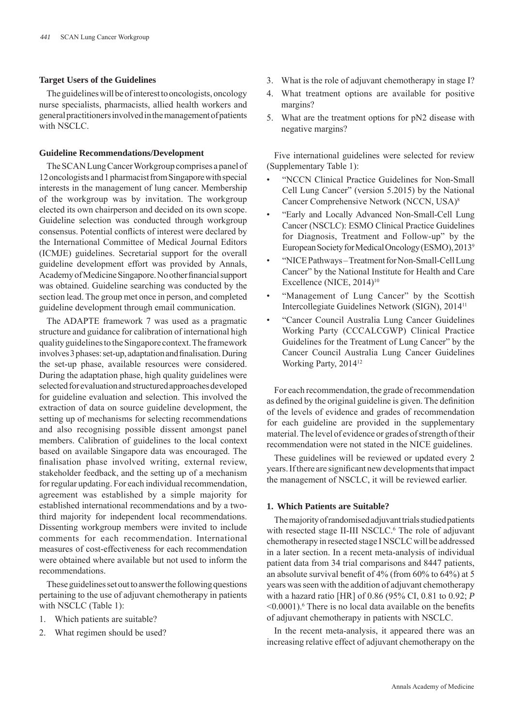# **Target Users of the Guidelines**

The guidelines will be of interest to oncologists, oncology nurse specialists, pharmacists, allied health workers and general practitioners involved in the management of patients with NSCLC.

## **Guideline Recommendations/Development**

The SCAN Lung Cancer Workgroup comprises a panel of 12 oncologists and 1 pharmacist from Singapore with special interests in the management of lung cancer. Membership of the workgroup was by invitation. The workgroup elected its own chairperson and decided on its own scope. Guideline selection was conducted through workgroup consensus. Potential conflicts of interest were declared by the International Committee of Medical Journal Editors (ICMJE) guidelines. Secretarial support for the overall guideline development effort was provided by Annals, Academy of Medicine Singapore. No other financial support was obtained. Guideline searching was conducted by the section lead. The group met once in person, and completed guideline development through email communication.

The ADAPTE framework 7 was used as a pragmatic structure and guidance for calibration of international high quality guidelines to the Singapore context. The framework involves 3 phases: set-up, adaptation and finalisation. During the set-up phase, available resources were considered. During the adaptation phase, high quality guidelines were selected for evaluation and structured approaches developed for guideline evaluation and selection. This involved the extraction of data on source guideline development, the setting up of mechanisms for selecting recommendations and also recognising possible dissent amongst panel members. Calibration of guidelines to the local context based on available Singapore data was encouraged. The finalisation phase involved writing, external review, stakeholder feedback, and the setting up of a mechanism for regular updating. For each individual recommendation, agreement was established by a simple majority for established international recommendations and by a twothird majority for independent local recommendations. Dissenting workgroup members were invited to include comments for each recommendation. International measures of cost-effectiveness for each recommendation were obtained where available but not used to inform the recommendations.

These guidelines set out to answer the following questions pertaining to the use of adjuvant chemotherapy in patients with NSCLC (Table 1):

- 1. Which patients are suitable?
- 2. What regimen should be used?
- 3. What is the role of adjuvant chemotherapy in stage I?
- 4. What treatment options are available for positive margins?
- 5. What are the treatment options for pN2 disease with negative margins?

Five international guidelines were selected for review (Supplementary Table 1):

- "NCCN Clinical Practice Guidelines for Non-Small Cell Lung Cancer" (version 5.2015) by the National Cancer Comprehensive Network (NCCN, USA)8
- "Early and Locally Advanced Non-Small-Cell Lung Cancer (NSCLC): ESMO Clinical Practice Guidelines for Diagnosis, Treatment and Follow-up" by the European Society for Medical Oncology (ESMO), 20139
- "NICE Pathways Treatment for Non-Small-Cell Lung Cancer" by the National Institute for Health and Care Excellence (NICE, 2014)<sup>10</sup>
- "Management of Lung Cancer" by the Scottish Intercollegiate Guidelines Network (SIGN), 201411
- "Cancer Council Australia Lung Cancer Guidelines Working Party (CCCALCGWP) Clinical Practice Guidelines for the Treatment of Lung Cancer" by the Cancer Council Australia Lung Cancer Guidelines Working Party, 201412

For each recommendation, the grade of recommendation as defined by the original guideline is given. The definition of the levels of evidence and grades of recommendation for each guideline are provided in the supplementary material. The level of evidence or grades of strength of their recommendation were not stated in the NICE guidelines.

These guidelines will be reviewed or updated every 2 years. If there are significant new developments that impact the management of NSCLC, it will be reviewed earlier.

# **1. Which Patients are Suitable?**

The majority of randomised adjuvant trials studied patients with resected stage II-III NSCLC.<sup>6</sup> The role of adjuvant chemotherapy in resected stage I NSCLC will be addressed in a later section. In a recent meta-analysis of individual patient data from 34 trial comparisons and 8447 patients, an absolute survival benefit of  $4\%$  (from  $60\%$  to  $64\%$ ) at 5 years was seen with the addition of adjuvant chemotherapy with a hazard ratio [HR] of 0.86 (95% CI, 0.81 to 0.92; *P*   $\leq 0.0001$ ).<sup>6</sup> There is no local data available on the benefits of adjuvant chemotherapy in patients with NSCLC.

In the recent meta-analysis, it appeared there was an increasing relative effect of adjuvant chemotherapy on the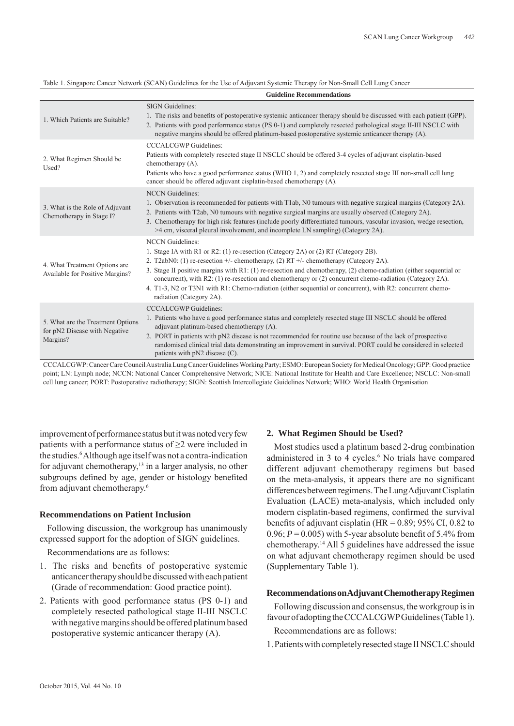Table 1. Singapore Cancer Network (SCAN) Guidelines for the Use of Adjuvant Systemic Therapy for Non-Small Cell Lung Cancer

|                                                                                | <b>Guideline Recommendations</b>                                                                                                                                                                                                                                                                                                                                                                                                                                                                                                                                                      |
|--------------------------------------------------------------------------------|---------------------------------------------------------------------------------------------------------------------------------------------------------------------------------------------------------------------------------------------------------------------------------------------------------------------------------------------------------------------------------------------------------------------------------------------------------------------------------------------------------------------------------------------------------------------------------------|
| 1. Which Patients are Suitable?                                                | <b>SIGN</b> Guidelines:<br>1. The risks and benefits of postoperative systemic anticancer therapy should be discussed with each patient (GPP).<br>2. Patients with good performance status (PS 0-1) and completely resected pathological stage II-III NSCLC with<br>negative margins should be offered platinum-based postoperative systemic anticancer therapy (A).                                                                                                                                                                                                                  |
| 2. What Regimen Should be<br>Used?                                             | <b>CCCALCGWP</b> Guidelines:<br>Patients with completely resected stage II NSCLC should be offered 3-4 cycles of adjuvant cisplatin-based<br>chemotherapy $(A)$ .<br>Patients who have a good performance status (WHO 1, 2) and completely resected stage III non-small cell lung<br>cancer should be offered adjuvant cisplatin-based chemotherapy (A).                                                                                                                                                                                                                              |
| 3. What is the Role of Adjuvant<br>Chemotherapy in Stage I?                    | <b>NCCN</b> Guidelines:<br>1. Observation is recommended for patients with T1ab, N0 tumours with negative surgical margins (Category 2A).<br>2. Patients with T2ab, N0 tumours with negative surgical margins are usually observed (Category 2A).<br>3. Chemotherapy for high risk features (include poorly differentiated tumours, vascular invasion, wedge resection,<br>$>4$ cm, visceral pleural involvement, and incomplete LN sampling) (Category 2A).                                                                                                                          |
| 4. What Treatment Options are<br>Available for Positive Margins?               | <b>NCCN</b> Guidelines:<br>1. Stage IA with R1 or R2: (1) re-resection (Category 2A) or (2) RT (Category 2B).<br>2. T2abN0: (1) re-resection $+/-$ chemotherapy, (2) RT $+/-$ chemotherapy (Category 2A).<br>3. Stage II positive margins with R1: (1) re-resection and chemotherapy, (2) chemo-radiation (either sequential or<br>concurrent), with R2: (1) re-resection and chemotherapy or (2) concurrent chemo-radiation (Category 2A).<br>4. T1-3, N2 or T3N1 with R1: Chemo-radiation (either sequential or concurrent), with R2: concurrent chemo-<br>radiation (Category 2A). |
| 5. What are the Treatment Options<br>for pN2 Disease with Negative<br>Margins? | <b>CCCALCGWP</b> Guidelines:<br>1. Patients who have a good performance status and completely resected stage III NSCLC should be offered<br>adjuvant platinum-based chemotherapy (A).<br>2. PORT in patients with pN2 disease is not recommended for routine use because of the lack of prospective<br>randomised clinical trial data demonstrating an improvement in survival. PORT could be considered in selected<br>patients with pN2 disease (C).                                                                                                                                |

CCCALCGWP: Cancer Care Council Australia Lung Cancer Guidelines Working Party; ESMO: European Society for Medical Oncology; GPP: Good practice point; LN: Lymph node; NCCN: National Cancer Comprehensive Network; NICE: National Institute for Health and Care Excellence; NSCLC: Non-small cell lung cancer; PORT: Postoperative radiotherapy; SIGN: Scottish Intercollegiate Guidelines Network; WHO: World Health Organisation

improvement of performance status but it was noted very few patients with a performance status of  $\geq$  were included in the studies.<sup>6</sup> Although age itself was not a contra-indication for adjuvant chemotherapy,13 in a larger analysis, no other subgroups defined by age, gender or histology benefited from adjuvant chemotherapy.6

# **Recommendations on Patient Inclusion**

Following discussion, the workgroup has unanimously expressed support for the adoption of SIGN guidelines.

Recommendations are as follows:

- 1. The risks and benefits of postoperative systemic anticancer therapy should be discussed with each patient (Grade of recommendation: Good practice point).
- 2. Patients with good performance status (PS 0-1) and completely resected pathological stage II-III NSCLC with negative margins should be offered platinum based postoperative systemic anticancer therapy (A).

### **2. What Regimen Should be Used?**

Most studies used a platinum based 2-drug combination administered in 3 to 4 cycles.<sup>6</sup> No trials have compared different adjuvant chemotherapy regimens but based on the meta-analysis, it appears there are no significant differences between regimens. The Lung Adjuvant Cisplatin Evaluation (LACE) meta-analysis, which included only modern cisplatin-based regimens, confirmed the survival benefits of adjuvant cisplatin (HR =  $0.89$ ; 95% CI, 0.82 to 0.96;  $P = 0.005$ ) with 5-year absolute benefit of 5.4% from chemotherapy.14 All 5 guidelines have addressed the issue on what adjuvant chemotherapy regimen should be used (Supplementary Table 1).

# **Recommendations on Adjuvant Chemotherapy Regimen**

Following discussion and consensus, the workgroup is in favour of adopting the CCCALCGWP Guidelines (Table 1). Recommendations are as follows:

1. Patients with completely resected stage II NSCLC should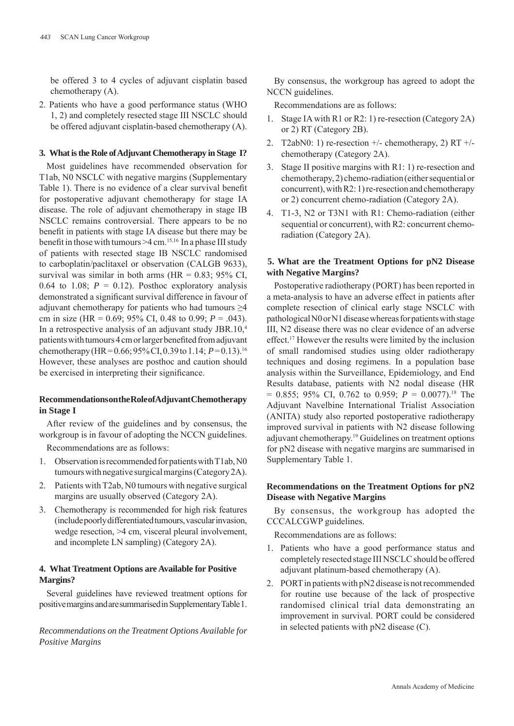be offered 3 to 4 cycles of adjuvant cisplatin based chemotherapy (A).

2. Patients who have a good performance status (WHO 1, 2) and completely resected stage III NSCLC should be offered adjuvant cisplatin-based chemotherapy (A).

# **3. What is the Role of Adjuvant Chemotherapy in Stage I?**

Most guidelines have recommended observation for T1ab, N0 NSCLC with negative margins (Supplementary Table 1). There is no evidence of a clear survival benefit for postoperative adjuvant chemotherapy for stage IA disease. The role of adjuvant chemotherapy in stage IB NSCLC remains controversial. There appears to be no benefit in patients with stage IA disease but there may be benefit in those with tumours  $\geq 4$  cm.<sup>15,16</sup> In a phase III study of patients with resected stage IB NSCLC randomised to carboplatin/paclitaxel or observation (CALGB 9633), survival was similar in both arms ( $HR = 0.83$ ; 95% CI, 0.64 to 1.08;  $P = 0.12$ ). Posthoc exploratory analysis demonstrated a significant survival difference in favour of adjuvant chemotherapy for patients who had tumours >4 cm in size (HR = 0.69; 95% CI, 0.48 to 0.99; *P* = .043). In a retrospective analysis of an adjuvant study JBR.10,4 patients with tumours 4 cm or larger benefited from adjuvant chemotherapy (HR =  $0.66$ ;  $95\%$  CI,  $0.39$  to 1.14;  $P=0.13$ ).<sup>16</sup> However, these analyses are posthoc and caution should be exercised in interpreting their significance.

# **Recommendations on the Role of Adjuvant Chemotherapy in Stage I**

After review of the guidelines and by consensus, the workgroup is in favour of adopting the NCCN guidelines.

Recommendations are as follows:

- 1. Observation is recommended for patients with T1ab, N0 tumours with negative surgical margins (Category 2A).
- 2. Patients with T2ab, N0 tumours with negative surgical margins are usually observed (Category 2A).
- 3. Chemotherapy is recommended for high risk features (include poorly differentiated tumours, vascular invasion, wedge resection, >4 cm, visceral pleural involvement, and incomplete LN sampling) (Category 2A).

# **4. What Treatment Options are Available for Positive Margins?**

Several guidelines have reviewed treatment options for positive margins and are summarised in Supplementary Table 1.

*Recommendations on the Treatment Options Available for Positive Margins*

By consensus, the workgroup has agreed to adopt the NCCN guidelines.

Recommendations are as follows:

- 1. Stage IA with R1 or R2: 1) re-resection (Category 2A) or 2) RT (Category 2B).
- 2. T2abN0: 1) re-resection  $+/-$  chemotherapy, 2) RT  $+/$ chemotherapy (Category 2A).
- 3. Stage II positive margins with R1: 1) re-resection and chemotherapy, 2) chemo-radiation (either sequential or concurrent), with R2: 1) re-resection and chemotherapy or 2) concurrent chemo-radiation (Category 2A).
- 4. T1-3, N2 or T3N1 with R1: Chemo-radiation (either sequential or concurrent), with R2: concurrent chemoradiation (Category 2A).

# **5. What are the Treatment Options for pN2 Disease with Negative Margins?**

Postoperative radiotherapy (PORT) has been reported in a meta-analysis to have an adverse effect in patients after complete resection of clinical early stage NSCLC with pathological N0 or N1 disease whereas for patients with stage III, N2 disease there was no clear evidence of an adverse effect.17 However the results were limited by the inclusion of small randomised studies using older radiotherapy techniques and dosing regimens. In a population base analysis within the Surveillance, Epidemiology, and End Results database, patients with N2 nodal disease (HR  $= 0.855$ ; 95% CI, 0.762 to 0.959;  $P = 0.0077$ ).<sup>18</sup> The Adjuvant Navelbine International Trialist Association (ANITA) study also reported postoperative radiotherapy improved survival in patients with N2 disease following adjuvant chemotherapy.<sup>19</sup> Guidelines on treatment options for pN2 disease with negative margins are summarised in Supplementary Table 1.

# **Recommendations on the Treatment Options for pN2 Disease with Negative Margins**

By consensus, the workgroup has adopted the CCCALCGWP guidelines.

Recommendations are as follows:

- 1. Patients who have a good performance status and completely resected stage III NSCLC should be offered adjuvant platinum-based chemotherapy (A).
- 2. PORT in patients with pN2 disease is not recommended for routine use because of the lack of prospective randomised clinical trial data demonstrating an improvement in survival. PORT could be considered in selected patients with pN2 disease (C).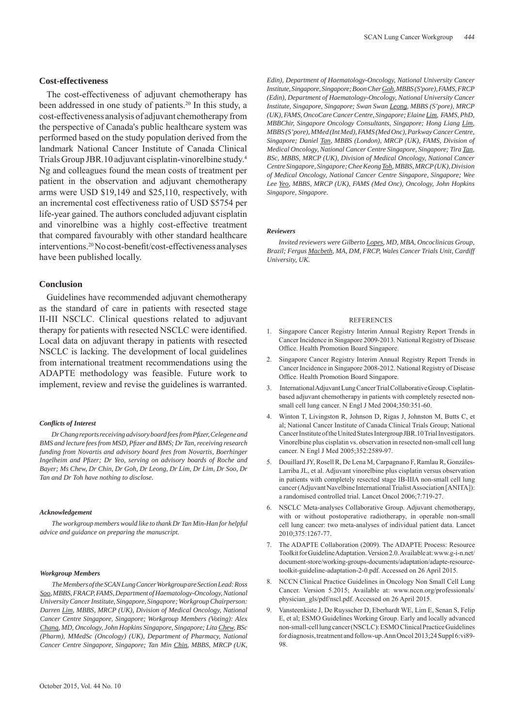The cost-effectiveness of adjuvant chemotherapy has been addressed in one study of patients.<sup>20</sup> In this study, a cost-effectiveness analysis of adjuvant chemotherapy from the perspective of Canada's public healthcare system was performed based on the study population derived from the landmark National Cancer Institute of Canada Clinical Trials Group JBR.10 adjuvant cisplatin-vinorelbine study.4 Ng and colleagues found the mean costs of treatment per patient in the observation and adjuvant chemotherapy arms were USD \$19,149 and \$25,110, respectively, with an incremental cost effectiveness ratio of USD \$5754 per life-year gained. The authors concluded adjuvant cisplatin and vinorelbine was a highly cost-effective treatment that compared favourably with other standard healthcare interventions.<sup>20</sup> No cost-benefit/cost-effectiveness analyses have been published locally.

# **Conclusion**

Guidelines have recommended adjuvant chemotherapy as the standard of care in patients with resected stage II-III NSCLC. Clinical questions related to adjuvant therapy for patients with resected NSCLC were identified. Local data on adjuvant therapy in patients with resected NSCLC is lacking. The development of local guidelines from international treatment recommendations using the ADAPTE methodology was feasible. Future work to implement, review and revise the guidelines is warranted.

#### *Confl icts of Interest*

*Dr Chang reports receiving advisory board fees from Pfi zer, Celegene and BMS and lecture fees from MSD, Pfi zer and BMS; Dr Tan, receiving research funding from Novartis and advisory board fees from Novartis, Boerhinger Ingelheim and Pfi zer; Dr Yeo, serving on advisory boards of Roche and Bayer; Ms Chew, Dr Chin, Dr Goh, Dr Leong, Dr Lim, Dr Lim, Dr Soo, Dr Tan and Dr Toh have nothing to disclose.*

#### *Acknowledgement*

*The workgroup members would like to thank Dr Tan Min-Han for helpful advice and guidance on preparing the manuscript.*

#### *Workgroup Members*

*The Members of the SCAN Lung Cancer Workgroup are Section Lead: Ross Soo, MBBS, FRACP, FAMS, Department of Haematology-Oncology, National University Cancer Institute, Singapore, Singapore; Workgroup Chairperson: Darren Lim, MBBS, MRCP (UK), Division of Medical Oncology, National Cancer Centre Singapore, Singapore; Workgroup Members (Voting): Alex Chang, MD, Oncology, John Hopkins Singapore, Singapore; Lita Chew, BSc (Pharm), MMedSc (Oncology) (UK), Department of Pharmacy, National Cancer Centre Singapore, Singapore; Tan Min Chin, MBBS, MRCP (UK,* 

*Edin), Department of Haematology-Oncology, National University Cancer Institute, Singapore, Singapore; Boon Cher Goh, MBBS (S'pore), FAMS, FRCP (Edin), Department of Haematology-Oncology, National University Cancer Institute, Singapore, Singapore; Swan Swan Leong, MBBS (S'pore), MRCP (UK), FAMS, OncoCare Cancer Centre, Singapore; Elaine Lim, FAMS, PhD, MBBChir, Singapore Oncology Consultants, Singapore; Hong Liang Lim, MBBS (S'pore), MMed (Int Med), FAMS (Med Onc), Parkway Cancer Centre, Singapore; Daniel Tan, MBBS (London), MRCP (UK), FAMS, Division of Medical Oncology, National Cancer Centre Singapore, Singapore; Tira Tan, BSc, MBBS, MRCP (UK), Division of Medical Oncology, National Cancer Centre Singapore, Singapore; Chee Keong Toh, MBBS, MRCP (UK), Division of Medical Oncology, National Cancer Centre Singapore, Singapore; Wee Lee Yeo, MBBS, MRCP (UK), FAMS (Med Onc), Oncology, John Hopkins Singapore, Singapore.*

#### *Reviewers*

*Invited reviewers were Gilberto Lopes, MD, MBA, Oncoclinicas Group, Brazil; Fergus Macbeth, MA, DM, FRCP, Wales Cancer Trials Unit, Cardiff University, UK.*

#### **REFERENCES**

- 1. Singapore Cancer Registry Interim Annual Registry Report Trends in Cancer Incidence in Singapore 2009-2013. National Registry of Disease Office. Health Promotion Board Singapore.
- 2. Singapore Cancer Registry Interim Annual Registry Report Trends in Cancer Incidence in Singapore 2008-2012. National Registry of Disease Office. Health Promotion Board Singapore.
- 3. International Adjuvant Lung Cancer Trial Collaborative Group. Cisplatinbased adjuvant chemotherapy in patients with completely resected nonsmall cell lung cancer. N Engl J Med 2004;350:351-60.
- 4. Winton T, Livingston R, Johnson D, Rigas J, Johnston M, Butts C, et al; National Cancer Institute of Canada Clinical Trials Group; National Cancer Institute of the United States Intergroup JBR.10 Trial Investigators. Vinorelbine plus cisplatin vs. observation in resected non-small cell lung cancer. N Engl J Med 2005;352:2589-97.
- 5. Douillard JY, Rosell R, De Lena M, Carpagnano F, Ramlau R, Gonzáles-Larriba JL, et al. Adjuvant vinorelbine plus cisplatin versus observation in patients with completely resected stage IB-IIIA non-small cell lung cancer (Adjuvant Navelbine International Trialist Association [ANITA]): a randomised controlled trial. Lancet Oncol 2006;7:719-27.
- 6. NSCLC Meta-analyses Collaborative Group. Adjuvant chemotherapy, with or without postoperative radiotherapy, in operable non-small cell lung cancer: two meta-analyses of individual patient data. Lancet 2010;375:1267-77.
- 7. The ADAPTE Collaboration (2009). The ADAPTE Process: Resource Toolkit for Guideline Adaptation. Version 2.0. Available at: www.g-i-n.net/ document-store/working-groups-documents/adaptation/adapte-resourcetoolkit-guideline-adaptation-2-0.pdf. Accessed on 26 April 2015.
- 8. NCCN Clinical Practice Guidelines in Oncology Non Small Cell Lung Cancer. Version 5.2015; Available at: www.nccn.org/professionals/ physician\_gls/pdf/nscl.pdf. Accessed on 26 April 2015.
- 9. Vansteenkiste J, De Ruysscher D, Eberhardt WE, Lim E, Senan S, Felip E, et al; ESMO Guidelines Working Group. Early and locally advanced non-small-cell lung cancer (NSCLC): ESMO Clinical Practice Guidelines for diagnosis, treatment and follow-up. Ann Oncol 2013;24 Suppl 6:vi89- 98.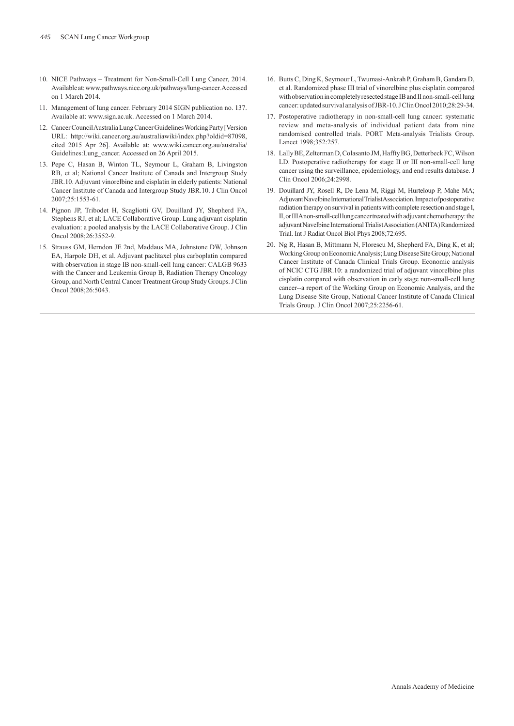- 10. NICE Pathways Treatment for Non-Small-Cell Lung Cancer, 2014. Available at: www.pathways.nice.org.uk/pathways/lung-cancer. Accessed on 1 March 2014.
- 11. Management of lung cancer. February 2014 SIGN publication no. 137. Available at: www.sign.ac.uk. Accessed on 1 March 2014.
- 12. Cancer Council Australia Lung Cancer Guidelines Working Party [Version URL: http://wiki.cancer.org.au/australiawiki/index.php?oldid=87098, cited 2015 Apr 26]. Available at: www.wiki.cancer.org.au/australia/ Guidelines:Lung\_cancer. Accessed on 26 April 2015.
- 13. Pepe C, Hasan B, Winton TL, Seymour L, Graham B, Livingston RB, et al; National Cancer Institute of Canada and Intergroup Study JBR.10. Adjuvant vinorelbine and cisplatin in elderly patients: National Cancer Institute of Canada and Intergroup Study JBR.10. J Clin Oncol 2007;25:1553-61.
- 14. Pignon JP, Tribodet H, Scagliotti GV, Douillard JY, Shepherd FA, Stephens RJ, et al; LACE Collaborative Group. Lung adjuvant cisplatin evaluation: a pooled analysis by the LACE Collaborative Group. J Clin Oncol 2008;26:3552-9.
- 15. Strauss GM, Herndon JE 2nd, Maddaus MA, Johnstone DW, Johnson EA, Harpole DH, et al. Adjuvant paclitaxel plus carboplatin compared with observation in stage IB non-small-cell lung cancer: CALGB 9633 with the Cancer and Leukemia Group B, Radiation Therapy Oncology Group, and North Central Cancer Treatment Group Study Groups. J Clin Oncol 2008;26:5043.
- 16. Butts C, Ding K, Seymour L, Twumasi-Ankrah P, Graham B, Gandara D, et al. Randomized phase III trial of vinorelbine plus cisplatin compared with observation in completely resected stage IB and II non-small-cell lung cancer: updated survival analysis of JBR-10. J Clin Oncol 2010;28:29-34.
- 17. Postoperative radiotherapy in non-small-cell lung cancer: systematic review and meta-analysis of individual patient data from nine randomised controlled trials. PORT Meta-analysis Trialists Group. Lancet 1998;352:257.
- 18. Lally BE, Zelterman D, Colasanto JM, Haffty BG, Detterbeck FC, Wilson LD. Postoperative radiotherapy for stage II or III non-small-cell lung cancer using the surveillance, epidemiology, and end results database. J Clin Oncol 2006;24:2998.
- 19. Douillard JY, Rosell R, De Lena M, Riggi M, Hurteloup P, Mahe MA; Adjuvant Navelbine International Trialist Association. Impact of postoperative radiation therapy on survival in patients with complete resection and stage I, II, or IIIA non-small-cell lung cancer treated with adjuvant chemotherapy: the adjuvant Navelbine International Trialist Association (ANITA) Randomized Trial. Int J Radiat Oncol Biol Phys 2008;72:695.
- 20. Ng R, Hasan B, Mittmann N, Florescu M, Shepherd FA, Ding K, et al; Working Group on Economic Analysis; Lung Disease Site Group; National Cancer Institute of Canada Clinical Trials Group. Economic analysis of NCIC CTG JBR.10: a randomized trial of adjuvant vinorelbine plus cisplatin compared with observation in early stage non-small-cell lung cancer--a report of the Working Group on Economic Analysis, and the Lung Disease Site Group, National Cancer Institute of Canada Clinical Trials Group. J Clin Oncol 2007;25:2256-61.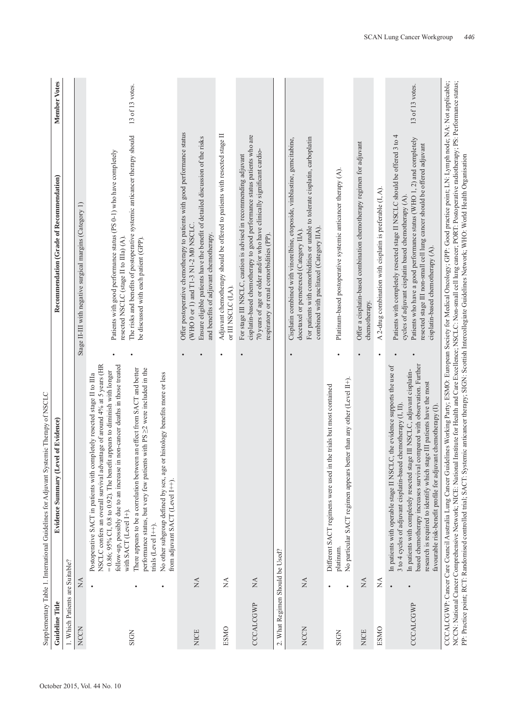|                                 |                                                           | Supplementary Table 1. International Guidelines for Adjuvant Systemic Therapy of NSCLC                                                                                                                                                                                                                                                                                                                                                                                                                                                                                                                                                                   |                                                                                                                                                                                                                                                                                                                                                                                                 |
|---------------------------------|-----------------------------------------------------------|----------------------------------------------------------------------------------------------------------------------------------------------------------------------------------------------------------------------------------------------------------------------------------------------------------------------------------------------------------------------------------------------------------------------------------------------------------------------------------------------------------------------------------------------------------------------------------------------------------------------------------------------------------|-------------------------------------------------------------------------------------------------------------------------------------------------------------------------------------------------------------------------------------------------------------------------------------------------------------------------------------------------------------------------------------------------|
| Guideline Title                 |                                                           | of Evidence)<br>Evidence Summary (Level                                                                                                                                                                                                                                                                                                                                                                                                                                                                                                                                                                                                                  | <b>Member Votes</b><br>Recommendation (Grade of Recommendation)                                                                                                                                                                                                                                                                                                                                 |
| 1. Which Patients are Suitable? |                                                           |                                                                                                                                                                                                                                                                                                                                                                                                                                                                                                                                                                                                                                                          |                                                                                                                                                                                                                                                                                                                                                                                                 |
| <b>NCCN</b>                     | $\mathbb{X}^{\mathsf{A}}$                                 |                                                                                                                                                                                                                                                                                                                                                                                                                                                                                                                                                                                                                                                          | Stage II-III with negative surgical margins (Category 1)                                                                                                                                                                                                                                                                                                                                        |
| <b>SIGN</b>                     | $\bullet$                                                 | follow-up, possibly due to an increase in non-cancer deaths in those treated<br>NSCLC confers an overall survival advantage of around 4% at 5 years (HR<br>an effect from SACT and better<br>with PS $\geq$ were included in the<br>$= 0.86$ ; 95% CI, 0.8 to 0.92). The benefit appears to diminish with longer<br>histology benefits more or less<br>Postoperative SACT in patients with completely resected stage II to IIIa<br>There appears to be a correlation between<br>performance status, but very few patients<br>No other subgroup defined by sex, age or<br>from adjuvant SACT (Level I++).<br>with SACT (Level I+).<br>trials (Level I++). | 13 of 13 votes.<br>The risks and benefits of postoperative systemic anticancer therapy should<br>Patients with good performance status (PS 0-1) who have completely<br>resected NSCLC (stage II to IIIa) (A).<br>be discussed with each patient (GPP).                                                                                                                                          |
| <b>NICE</b>                     | $_{\rm NA}$                                               |                                                                                                                                                                                                                                                                                                                                                                                                                                                                                                                                                                                                                                                          | Offer postoperative chemotherapy to patients with good performance status<br>Ensure eligible patients have the benefit of detailed discussion of the risks<br>(WHO 0 or 1) and T1-3 N1-2 M0 NSCLC<br>and benefits of adjuvant chemotherapy.                                                                                                                                                     |
| <b>ESMO</b>                     | $\stackrel{\triangle}{\simeq}$                            |                                                                                                                                                                                                                                                                                                                                                                                                                                                                                                                                                                                                                                                          | Adjuvant chemotherapy should be offered to patients with resected stage II<br>or III NSCLC (I,A).<br>$\bullet$                                                                                                                                                                                                                                                                                  |
| CCCALCGWP                       | $\mathbb{A}$                                              |                                                                                                                                                                                                                                                                                                                                                                                                                                                                                                                                                                                                                                                          | cisplatin-based chemotherapy to good performance status patients who are<br>70 years of age or older and/or who have clinically significant cardio-<br>For stage III NSCLC, caution is advised in recommending adjuvant<br>respiratory or renal comorbidities (PP).                                                                                                                             |
| 2. What Regimen Should be Used? |                                                           |                                                                                                                                                                                                                                                                                                                                                                                                                                                                                                                                                                                                                                                          |                                                                                                                                                                                                                                                                                                                                                                                                 |
| <b>NCCN</b>                     | $\stackrel{\Delta}{\simeq}$                               |                                                                                                                                                                                                                                                                                                                                                                                                                                                                                                                                                                                                                                                          | For patients with comorbidities or unable to tolerate cisplatin, carboplatin<br>Cisplatin combined with vinorelbine, etoposide, vinblastine, gemcitabine,<br>combined with paclitaxel (Category IIA).<br>docetaxel or pemetrexed (Category IIA)                                                                                                                                                 |
| <b>SIGN</b>                     |                                                           | No particular SACT regimen appears better than any other (Level II+).<br>Different SACT regimens were used in the trials but most contained<br>platinum                                                                                                                                                                                                                                                                                                                                                                                                                                                                                                  | Platinum-based postoperative systemic anticancer therapy (A).<br>٠                                                                                                                                                                                                                                                                                                                              |
| <b>NICE</b>                     | $\stackrel{\displaystyle\triangle}{\scriptstyle\searrow}$ |                                                                                                                                                                                                                                                                                                                                                                                                                                                                                                                                                                                                                                                          | Offer a cisplatin-based combination chemotherapy regimen for adjuvant<br>chemotherapy.<br>$\bullet$                                                                                                                                                                                                                                                                                             |
| ESMO                            | $\sum_{i=1}^{n}$                                          |                                                                                                                                                                                                                                                                                                                                                                                                                                                                                                                                                                                                                                                          | A 2-drug combination with cisplatin is preferable $(I, A)$ .<br>٠                                                                                                                                                                                                                                                                                                                               |
| CCCALCGWP                       | $\bullet$                                                 | based chemotherapy increases survival compared with observation. Further<br>In patients with operable stage II NSCLC, the evidence supports the use of<br>In patients with completely resected stage III NSCLC, adjuvant cisplatin-<br>research is required to identify which stage III patients have the most<br>3 to 4 cycles of adjuvant cisplatin-based chemotherapy (I, II).<br>favourable risk-benefit profile for adjuvant chemotherapy (I).                                                                                                                                                                                                      | 13 of 13 votes.<br>Patients with completely resected stage II NSCLC should be offered 3 to 4<br>Patients who have a good performance status (WHO 1, 2) and completely<br>resected stage III non-small cell lung cancer should be offered adjuvant<br>cycles of adjuvant cisplatin based chemotherapy (A).<br>cisplatin-based chemotherapy (A).                                                  |
|                                 |                                                           | PP: Practice point; RCT: Randomised controlled trial; SACT: Systemic anticancer therapy; SIGN: Scottish Intercollegiate Guidelines Network; WHO: World Health Organisation                                                                                                                                                                                                                                                                                                                                                                                                                                                                               | CCCALCGWP: Cancer Care Council Australia Lung Cancer Guidelines Working Party, ESMO: European Society for Medical Oncology; GPP: Good practice point; LN: Lymph node; NA: Not applicable;<br>NCCN: National Cancer Comprehensive Network; NICE: National Institute for Health and Care Excellence; NSCLC: Non-small cell lung cancer; PORT: Postoperative radiotherapy; PS: Performance status; |

SCAN Lung Cancer Workgroup

*446*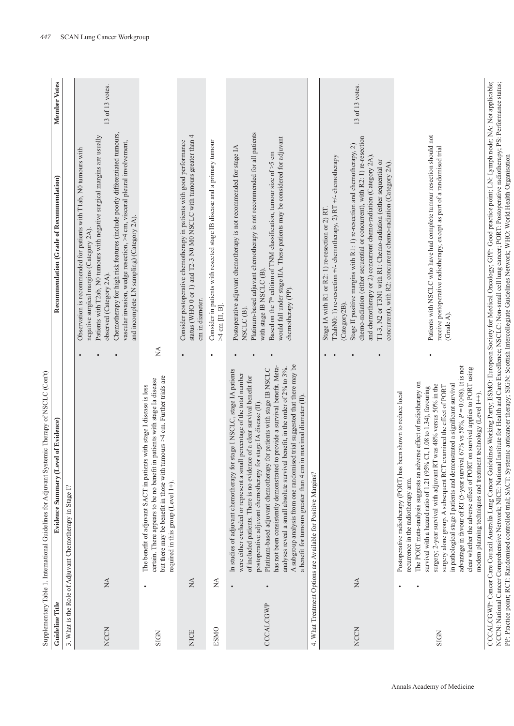| くっこ こくくり                                                             |
|----------------------------------------------------------------------|
| ï<br>į                                                               |
| ì                                                                    |
| l                                                                    |
| ׇ֖֖֖֧ׅ֧ׅ֪֪֪֦֧֪֪֪ׅ֚֚֚֚֚֚֚֚֚֚֚֚֚֚֚֚֚֚֚֡֬֞֝֬֝֬֓֡֬֝֬֓֬<br>$\overline{1}$ |
| i                                                                    |
| ŀ                                                                    |
| ł<br>ζ<br>Ì                                                          |

| <b>Guideline Title</b> |                                                       | <b>Evidence Summary (Level of Evidence)</b>                                                                                                                                                                                                                                                                                                                                                                                                                                                                                                                                                                                                                                                                                 | Recommendation (Grade of Recommendation)                                                                                                                                                                                                                                                                                                                                                                                                                                                                   | Member Votes    |
|------------------------|-------------------------------------------------------|-----------------------------------------------------------------------------------------------------------------------------------------------------------------------------------------------------------------------------------------------------------------------------------------------------------------------------------------------------------------------------------------------------------------------------------------------------------------------------------------------------------------------------------------------------------------------------------------------------------------------------------------------------------------------------------------------------------------------------|------------------------------------------------------------------------------------------------------------------------------------------------------------------------------------------------------------------------------------------------------------------------------------------------------------------------------------------------------------------------------------------------------------------------------------------------------------------------------------------------------------|-----------------|
|                        |                                                       | 3. What is the Role of Adjuvant Chemotherapy in Stage I?                                                                                                                                                                                                                                                                                                                                                                                                                                                                                                                                                                                                                                                                    |                                                                                                                                                                                                                                                                                                                                                                                                                                                                                                            |                 |
| <b>NCCN</b>            | $\lesssim$                                            |                                                                                                                                                                                                                                                                                                                                                                                                                                                                                                                                                                                                                                                                                                                             | Chemotherapy for high risk features (include poorly differentiated tumours,<br>Patients with T2ab, N0 tumours with negative surgical margins are usually<br>vascular invasion, wedge resection, >4 cm, visceral pleural involvement,<br>Observation is recommended for patients with T1ab, N0 tumours with<br>and incomplete LN sampling) (Category 2A).<br>negative surgical margins (Category 2A).<br>observed (Category 2A).                                                                            | 13 of 13 votes. |
| <b>SIGN</b>            |                                                       | but there may be benefit in those with tumours >4 cm. Further trials are<br>in patients with stage Ia disease<br>The benefit of adjuvant SACT in patients with stage I disease is less<br>certain. There appears to be no benefit<br>required in this group (Level 1+).                                                                                                                                                                                                                                                                                                                                                                                                                                                     | ≸                                                                                                                                                                                                                                                                                                                                                                                                                                                                                                          |                 |
| <b>NICE</b>            | $\stackrel{\displaystyle\triangle}{\scriptstyle\sim}$ | $\bullet$                                                                                                                                                                                                                                                                                                                                                                                                                                                                                                                                                                                                                                                                                                                   | status (WHO 0 or 1) and T2-3 N0 M0 NSCLC with tumours greater than 4<br>Consider postoperative chemotherapy in patients with good performance<br>cm in diameter.                                                                                                                                                                                                                                                                                                                                           |                 |
| <b>ESMO</b>            | ₹                                                     |                                                                                                                                                                                                                                                                                                                                                                                                                                                                                                                                                                                                                                                                                                                             | Consider in patients with resected stage IB disease and a primary tumour<br>$>4$ cm [II, B].                                                                                                                                                                                                                                                                                                                                                                                                               |                 |
| CCCALCGWP              | $\bullet$                                             | A subgroup analysis from one randomised trial suggested that there may be<br>to provide a survival benefit. Meta-<br>analyses reveal a small absolute survival benefit, in the order of 2% to 3%.<br>Platinum-based adjuvant chemotherapy for patients with stage IB NSCLC<br>In studies of adjuvant chemotherapy for stage I NSCLC, stage IA patients<br>were either excluded or represent a small percentage of the total number<br>of included patients. There is no evidence of a clear survival benefit for<br>in maximal diameter (II).<br>postoperative adjuvant chemotherapy for stage IA disease (II).<br>has not been consistently demonstrated<br>a benefit for tumours greater than 4 cm                        | Platinum-based adjuvant chemotherapy is not recommended for all patients<br>would fall under stage IIA. These patients may be considered for adjuvant<br>Postoperative adjuvant chemotherapy is not recommended for stage IA<br>Based on the $7th$ edition of TNM classification, tumour size of >5 cm<br>with stage IB NSCLC(B).<br>chemotherapy (PP).<br>NSCLC <sub>(B)</sub> .                                                                                                                          |                 |
|                        |                                                       | 4. What Treatment Options are Available for Positive Margins?                                                                                                                                                                                                                                                                                                                                                                                                                                                                                                                                                                                                                                                               |                                                                                                                                                                                                                                                                                                                                                                                                                                                                                                            |                 |
| <b>NCCN</b>            | $\lesssim$                                            |                                                                                                                                                                                                                                                                                                                                                                                                                                                                                                                                                                                                                                                                                                                             | chemo-radiation (either sequential or concurrent), with R2: 1) re-resection<br>Stage II positive margins with R1: 1) re-resection and chemotherapy, 2)<br>and chemotherapy or 2) concurrent chemo-radiation (Category 2A).<br>T2abN0: 1) re-resection +/- chemotherapy, 2) RT +/- chemotherapy<br>T1-3, N2 or T3N1 with R1: Chemo-radiation (either sequential or<br>concurrent), with R2: concurrent chemo-radiation (Category 2A).<br>Stage IA with R1 or R2: 1) re-resection or 2) RT.<br>(Category2B). | 13 of 13 votes. |
| <b>SIGN</b>            |                                                       | advantage in favour of RT (5-year survival 67% vs $58\%$ , $P = 0.048$ ). It is not<br>clear whether the adverse effect of PORT on survival applies to PORT using<br>The PORT meta-analysis suggests an adverse effect of radiotherapy on<br>in pathological stage I patients and demonstrated a significant survival<br>surgery; 2-year survival with adjuvant RT was 48% versus 50% in the<br>examined the effect of PORT<br>survival with a hazard ratio of 1.21 (95% CI, 1.08 to 1.34), favouring<br>Postoperative radiotherapy (PORT) has been shown to reduce local<br>modem planning techniques and treatment technology (Level I++)<br>surgery alone group. A subsequent RCT<br>recurrence in the radiotherapy arm. | Patients with NSCLC who have had complete tumour resection should not<br>receive postoperative radiotherapy, except as part of a randomised trial<br>(Grade A).                                                                                                                                                                                                                                                                                                                                            |                 |
|                        |                                                       |                                                                                                                                                                                                                                                                                                                                                                                                                                                                                                                                                                                                                                                                                                                             | CCCALCGWP: Cancer Care Council Australia Lung Cancer Guidelines Working Party, ESMO: European Society for Medical Oncology; GPP: Good practice point; LN: Lymph node; NA: Not applicable;                                                                                                                                                                                                                                                                                                                  |                 |